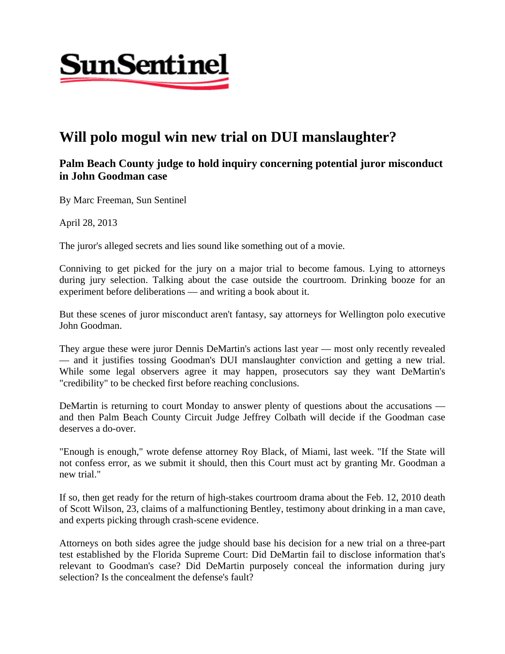

## **Will polo mogul win new trial on DUI manslaughter?**

## **Palm Beach County judge to hold inquiry concerning potential juror misconduct in John Goodman case**

By Marc Freeman, Sun Sentinel

April 28, 2013

The juror's alleged secrets and lies sound like something out of a movie.

Conniving to get picked for the jury on a major trial to become famous. Lying to attorneys during jury selection. Talking about the case outside the courtroom. Drinking booze for an experiment before deliberations — and writing a book about it.

But these scenes of juror misconduct aren't fantasy, say attorneys for Wellington polo executive John Goodman.

They argue these were juror Dennis DeMartin's actions last year — most only recently revealed — and it justifies tossing Goodman's DUI manslaughter conviction and getting a new trial. While some legal observers agree it may happen, prosecutors say they want DeMartin's "credibility" to be checked first before reaching conclusions.

DeMartin is returning to court Monday to answer plenty of questions about the accusations and then Palm Beach County Circuit Judge Jeffrey Colbath will decide if the Goodman case deserves a do-over.

"Enough is enough," wrote defense attorney Roy Black, of Miami, last week. "If the State will not confess error, as we submit it should, then this Court must act by granting Mr. Goodman a new trial."

If so, then get ready for the return of high-stakes courtroom drama about the Feb. 12, 2010 death of Scott Wilson, 23, claims of a malfunctioning Bentley, testimony about drinking in a man cave, and experts picking through crash-scene evidence.

Attorneys on both sides agree the judge should base his decision for a new trial on a three-part test established by the Florida Supreme Court: Did DeMartin fail to disclose information that's relevant to Goodman's case? Did DeMartin purposely conceal the information during jury selection? Is the concealment the defense's fault?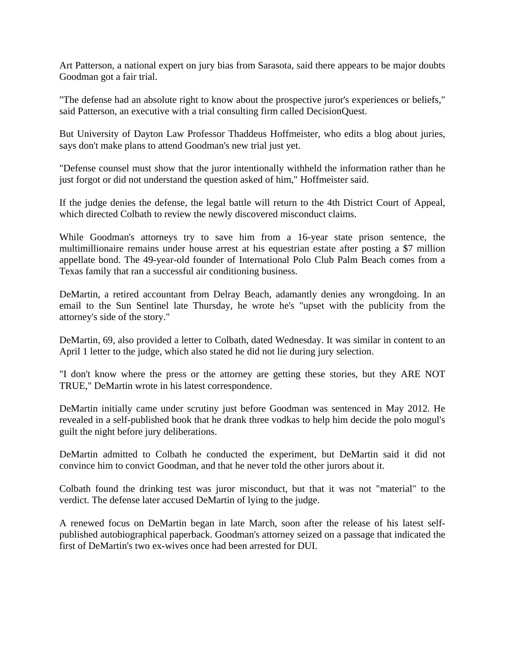Art Patterson, a national expert on jury bias from Sarasota, said there appears to be major doubts Goodman got a fair trial.

"The defense had an absolute right to know about the prospective juror's experiences or beliefs," said Patterson, an executive with a trial consulting firm called DecisionQuest.

But University of Dayton Law Professor Thaddeus Hoffmeister, who edits a blog about juries, says don't make plans to attend Goodman's new trial just yet.

"Defense counsel must show that the juror intentionally withheld the information rather than he just forgot or did not understand the question asked of him," Hoffmeister said.

If the judge denies the defense, the legal battle will return to the 4th District Court of Appeal, which directed Colbath to review the newly discovered misconduct claims.

While Goodman's attorneys try to save him from a 16-year state prison sentence, the multimillionaire remains under house arrest at his equestrian estate after posting a \$7 million appellate bond. The 49-year-old founder of International Polo Club Palm Beach comes from a Texas family that ran a successful air conditioning business.

DeMartin, a retired accountant from Delray Beach, adamantly denies any wrongdoing. In an email to the Sun Sentinel late Thursday, he wrote he's "upset with the publicity from the attorney's side of the story."

DeMartin, 69, also provided a letter to Colbath, dated Wednesday. It was similar in content to an April 1 letter to the judge, which also stated he did not lie during jury selection.

"I don't know where the press or the attorney are getting these stories, but they ARE NOT TRUE," DeMartin wrote in his latest correspondence.

DeMartin initially came under scrutiny just before Goodman was sentenced in May 2012. He revealed in a self-published book that he drank three vodkas to help him decide the polo mogul's guilt the night before jury deliberations.

DeMartin admitted to Colbath he conducted the experiment, but DeMartin said it did not convince him to convict Goodman, and that he never told the other jurors about it.

Colbath found the drinking test was juror misconduct, but that it was not "material" to the verdict. The defense later accused DeMartin of lying to the judge.

A renewed focus on DeMartin began in late March, soon after the release of his latest selfpublished autobiographical paperback. Goodman's attorney seized on a passage that indicated the first of DeMartin's two ex-wives once had been arrested for DUI.